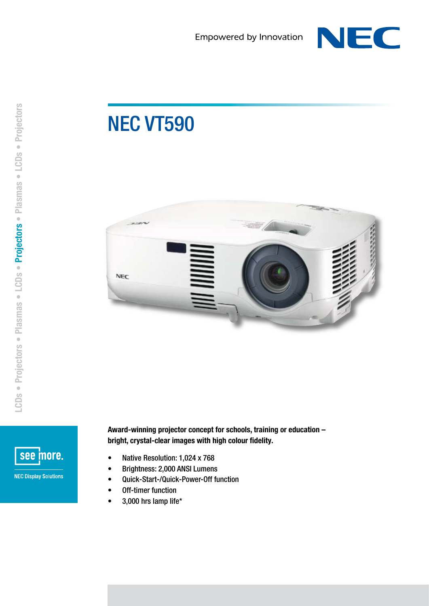

## NEC VT590





Award-winning projector concept for schools, training or education – bright, crystal-clear images with high colour fidelity.

- Native Resolution: 1,024 x 768
- • Brightness: 2,000 ANSI Lumens
- • Quick-Start-/Quick-Power-Off function
- • Off-timer function
- $\bullet$  3,000 hrs lamp life\*